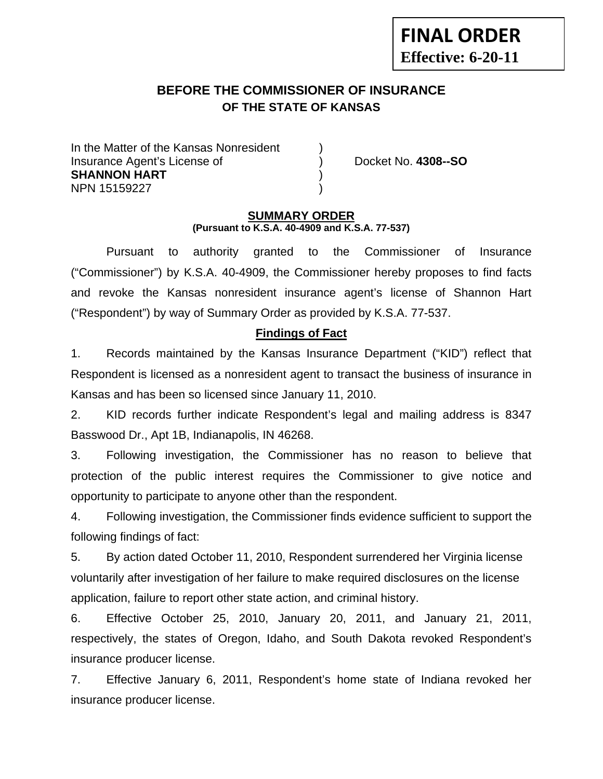# **BEFORE THE COMMISSIONER OF INSURANCE OF THE STATE OF KANSAS**

In the Matter of the Kansas Nonresident Insurance Agent's License of ) Docket No. **4308--SO SHANNON HART** ) NPN 15159227 )

**FINAL ORDER**

**Effective: 6-20-11** 

#### **SUMMARY ORDER (Pursuant to K.S.A. 40-4909 and K.S.A. 77-537)**

 Pursuant to authority granted to the Commissioner of Insurance ("Commissioner") by K.S.A. 40-4909, the Commissioner hereby proposes to find facts and revoke the Kansas nonresident insurance agent's license of Shannon Hart ("Respondent") by way of Summary Order as provided by K.S.A. 77-537.

## **Findings of Fact**

1. Records maintained by the Kansas Insurance Department ("KID") reflect that Respondent is licensed as a nonresident agent to transact the business of insurance in Kansas and has been so licensed since January 11, 2010.

2. KID records further indicate Respondent's legal and mailing address is 8347 Basswood Dr., Apt 1B, Indianapolis, IN 46268.

3. Following investigation, the Commissioner has no reason to believe that protection of the public interest requires the Commissioner to give notice and opportunity to participate to anyone other than the respondent.

4. Following investigation, the Commissioner finds evidence sufficient to support the following findings of fact:

5. By action dated October 11, 2010, Respondent surrendered her Virginia license voluntarily after investigation of her failure to make required disclosures on the license application, failure to report other state action, and criminal history.

6. Effective October 25, 2010, January 20, 2011, and January 21, 2011, respectively, the states of Oregon, Idaho, and South Dakota revoked Respondent's insurance producer license.

7. Effective January 6, 2011, Respondent's home state of Indiana revoked her insurance producer license.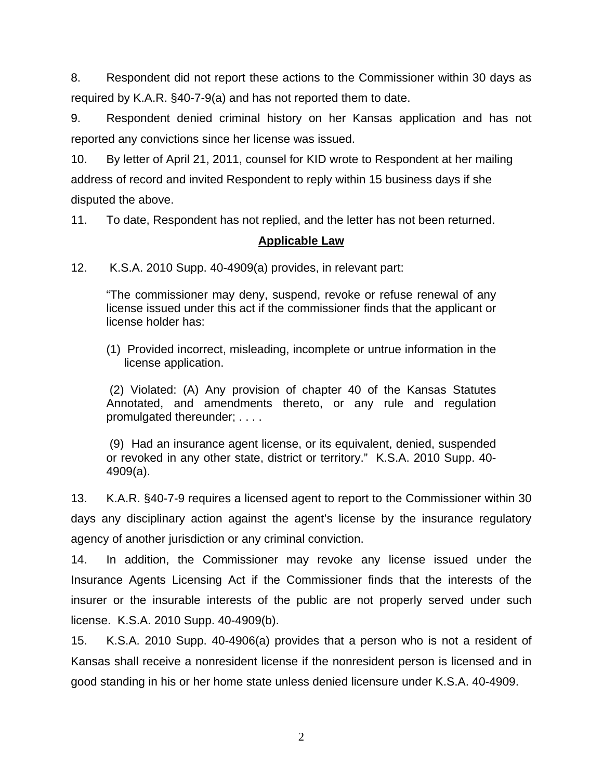8. Respondent did not report these actions to the Commissioner within 30 days as required by K.A.R. §40-7-9(a) and has not reported them to date.

9. Respondent denied criminal history on her Kansas application and has not reported any convictions since her license was issued.

10. By letter of April 21, 2011, counsel for KID wrote to Respondent at her mailing address of record and invited Respondent to reply within 15 business days if she disputed the above.

11. To date, Respondent has not replied, and the letter has not been returned.

## **Applicable Law**

12. K.S.A. 2010 Supp. 40-4909(a) provides, in relevant part:

"The commissioner may deny, suspend, revoke or refuse renewal of any license issued under this act if the commissioner finds that the applicant or license holder has:

(1) Provided incorrect, misleading, incomplete or untrue information in the license application.

 (2) Violated: (A) Any provision of chapter 40 of the Kansas Statutes Annotated, and amendments thereto, or any rule and regulation promulgated thereunder; . . . .

 (9) Had an insurance agent license, or its equivalent, denied, suspended or revoked in any other state, district or territory." K.S.A. 2010 Supp. 40- 4909(a).

13. K.A.R. §40-7-9 requires a licensed agent to report to the Commissioner within 30 days any disciplinary action against the agent's license by the insurance regulatory agency of another jurisdiction or any criminal conviction.

14. In addition, the Commissioner may revoke any license issued under the Insurance Agents Licensing Act if the Commissioner finds that the interests of the insurer or the insurable interests of the public are not properly served under such license. K.S.A. 2010 Supp. 40-4909(b).

15. K.S.A. 2010 Supp. 40-4906(a) provides that a person who is not a resident of Kansas shall receive a nonresident license if the nonresident person is licensed and in good standing in his or her home state unless denied licensure under K.S.A. 40-4909.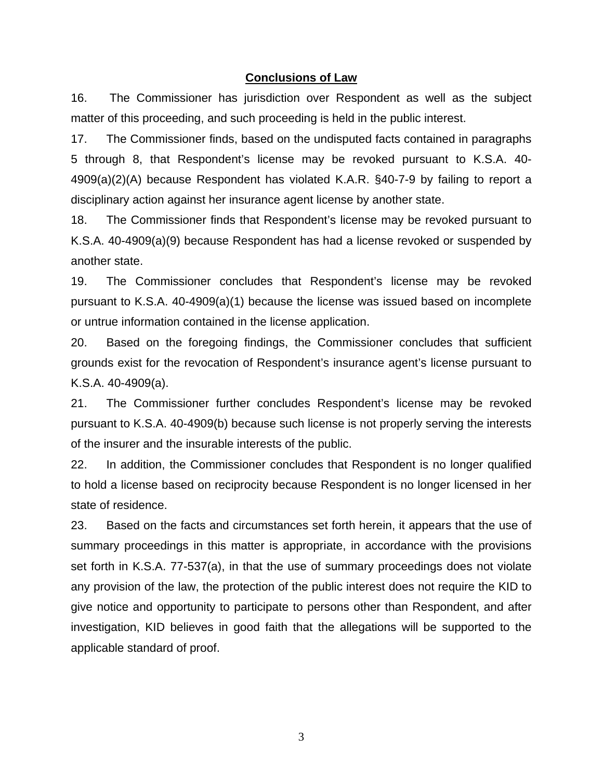#### **Conclusions of Law**

16. The Commissioner has jurisdiction over Respondent as well as the subject matter of this proceeding, and such proceeding is held in the public interest.

17. The Commissioner finds, based on the undisputed facts contained in paragraphs 5 through 8, that Respondent's license may be revoked pursuant to K.S.A. 40- 4909(a)(2)(A) because Respondent has violated K.A.R. §40-7-9 by failing to report a disciplinary action against her insurance agent license by another state.

18. The Commissioner finds that Respondent's license may be revoked pursuant to K.S.A. 40-4909(a)(9) because Respondent has had a license revoked or suspended by another state.

19. The Commissioner concludes that Respondent's license may be revoked pursuant to K.S.A. 40-4909(a)(1) because the license was issued based on incomplete or untrue information contained in the license application.

20. Based on the foregoing findings, the Commissioner concludes that sufficient grounds exist for the revocation of Respondent's insurance agent's license pursuant to K.S.A. 40-4909(a).

21. The Commissioner further concludes Respondent's license may be revoked pursuant to K.S.A. 40-4909(b) because such license is not properly serving the interests of the insurer and the insurable interests of the public.

22. In addition, the Commissioner concludes that Respondent is no longer qualified to hold a license based on reciprocity because Respondent is no longer licensed in her state of residence.

23. Based on the facts and circumstances set forth herein, it appears that the use of summary proceedings in this matter is appropriate, in accordance with the provisions set forth in K.S.A. 77-537(a), in that the use of summary proceedings does not violate any provision of the law, the protection of the public interest does not require the KID to give notice and opportunity to participate to persons other than Respondent, and after investigation, KID believes in good faith that the allegations will be supported to the applicable standard of proof.

3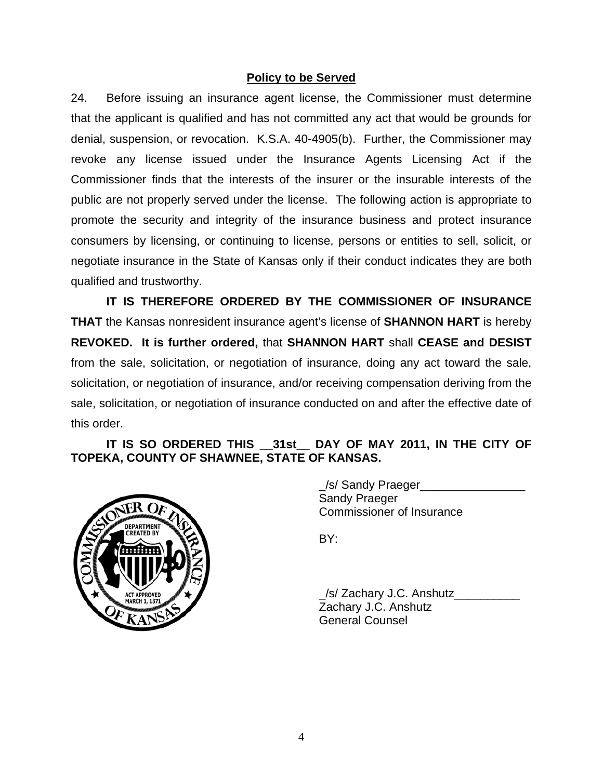## **Policy to be Served**

24. Before issuing an insurance agent license, the Commissioner must determine that the applicant is qualified and has not committed any act that would be grounds for denial, suspension, or revocation. K.S.A. 40-4905(b). Further, the Commissioner may revoke any license issued under the Insurance Agents Licensing Act if the Commissioner finds that the interests of the insurer or the insurable interests of the public are not properly served under the license. The following action is appropriate to promote the security and integrity of the insurance business and protect insurance consumers by licensing, or continuing to license, persons or entities to sell, solicit, or negotiate insurance in the State of Kansas only if their conduct indicates they are both qualified and trustworthy.

 **IT IS THEREFORE ORDERED BY THE COMMISSIONER OF INSURANCE THAT** the Kansas nonresident insurance agent's license of **SHANNON HART** is hereby **REVOKED. It is further ordered,** that **SHANNON HART** shall **CEASE and DESIST** from the sale, solicitation, or negotiation of insurance, doing any act toward the sale, solicitation, or negotiation of insurance, and/or receiving compensation deriving from the sale, solicitation, or negotiation of insurance conducted on and after the effective date of this order.

## **IT IS SO ORDERED THIS \_\_31st\_\_ DAY OF MAY 2011, IN THE CITY OF TOPEKA, COUNTY OF SHAWNEE, STATE OF KANSAS.**



 \_/s/ Sandy Praeger\_\_\_\_\_\_\_\_\_\_\_\_\_\_\_\_ Sandy Praeger Commissioner of Insurance

/s/ Zachary J.C. Anshutz Zachary J.C. Anshutz General Counsel